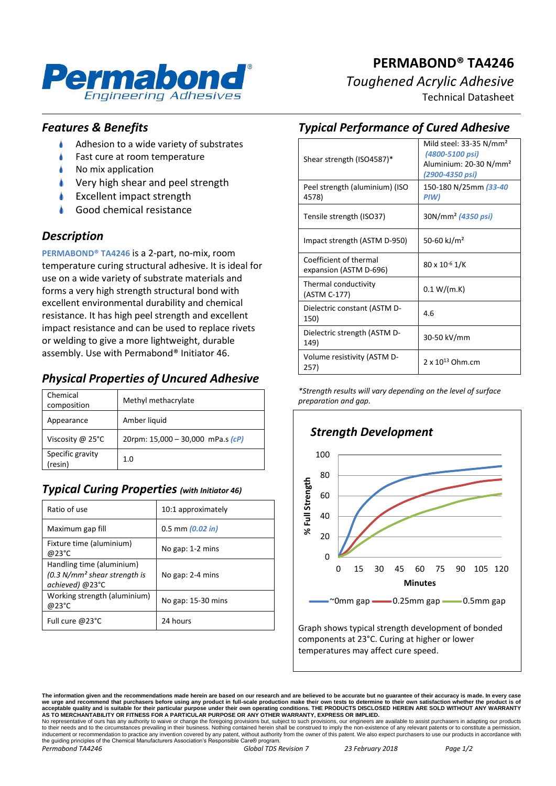

# **PERMABOND® TA4246** *Toughened Acrylic Adhesive* Technical Datasheet

### *Features & Benefits*

- Adhesion to a wide variety of substrates
- Fast cure at room temperature
- No mix application
- Very high shear and peel strength
- Excellent impact strength
- Good chemical resistance

## *Description*

**PERMABOND® TA4246** is a 2-part, no-mix, room temperature curing structural adhesive. It is ideal for use on a wide variety of substrate materials and forms a very high strength structural bond with excellent environmental durability and chemical resistance. It has high peel strength and excellent impact resistance and can be used to replace rivets or welding to give a more lightweight, durable assembly. Use with Permabond® Initiator 46.

# *Physical Properties of Uncured Adhesive*

| Chemical<br>composition     | Methyl methacrylate                   |
|-----------------------------|---------------------------------------|
| Appearance                  | Amber liquid                          |
| Viscosity @ $25^{\circ}$ C  | 20rpm: $15,000 - 30,000$ mPa.s $(cP)$ |
| Specific gravity<br>(resin) | 1.0                                   |

#### *Typical Curing Properties (with Initiator 46)*

| Ratio of use                                                                   | 10:1 approximately   |
|--------------------------------------------------------------------------------|----------------------|
| Maximum gap fill                                                               | $0.5$ mm $(0.02$ in) |
| Fixture time (aluminium)<br>@23°C                                              | No gap: 1-2 mins     |
| Handling time (aluminium)<br>$(0.3 N/mm2 shear strength is$<br>achieved) @23°C | No gap: 2-4 mins     |
| Working strength (aluminium)<br>@23°C                                          | No gap: 15-30 mins   |
| Full cure @23°C                                                                | 24 hours             |

## *Typical Performance of Cured Adhesive*

| Shear strength (ISO4587)*                        | Mild steel: $33-35$ N/mm <sup>2</sup><br>(4800-5100 psi)<br>Aluminium: 20-30 N/mm <sup>2</sup><br>(2900-4350 psi) |
|--------------------------------------------------|-------------------------------------------------------------------------------------------------------------------|
| Peel strength (aluminium) (ISO<br>4578)          | 150-180 N/25mm (33-40<br>PIW)                                                                                     |
| Tensile strength (ISO37)                         | 30N/mm <sup>2</sup> (4350 psi)                                                                                    |
| Impact strength (ASTM D-950)                     | 50-60 kJ/m <sup>2</sup>                                                                                           |
| Coefficient of thermal<br>expansion (ASTM D-696) | $80 \times 10^{-6}$ 1/K                                                                                           |
| Thermal conductivity<br>(ASTM C-177)             | 0.1 W/(m.K)                                                                                                       |
| Dielectric constant (ASTM D-<br>150)             | 4.6                                                                                                               |
| Dielectric strength (ASTM D-<br>149)             | 30-50 kV/mm                                                                                                       |
| Volume resistivity (ASTM D-<br>257)              | $2 \times 10^{13}$ Ohm.cm                                                                                         |

*\*Strength results will vary depending on the level of surface preparation and gap.*



components at 23°C. Curing at higher or lower

temperatures may affect cure speed.

The information given and the recommendations made herein are based on our research and are believed to be accurate but no guarantee of their accuracy is made. In every case<br>we urge and recommend that purchasers before usi No representative of ours has any authority to waive or change the foregoing provisions but, subject to such provisions, our engineers are available to assist purchasers in adapting our products<br>to their needs and to the c the guiding principles of the Chemical Manufacturers Association's Responsible Care® program.